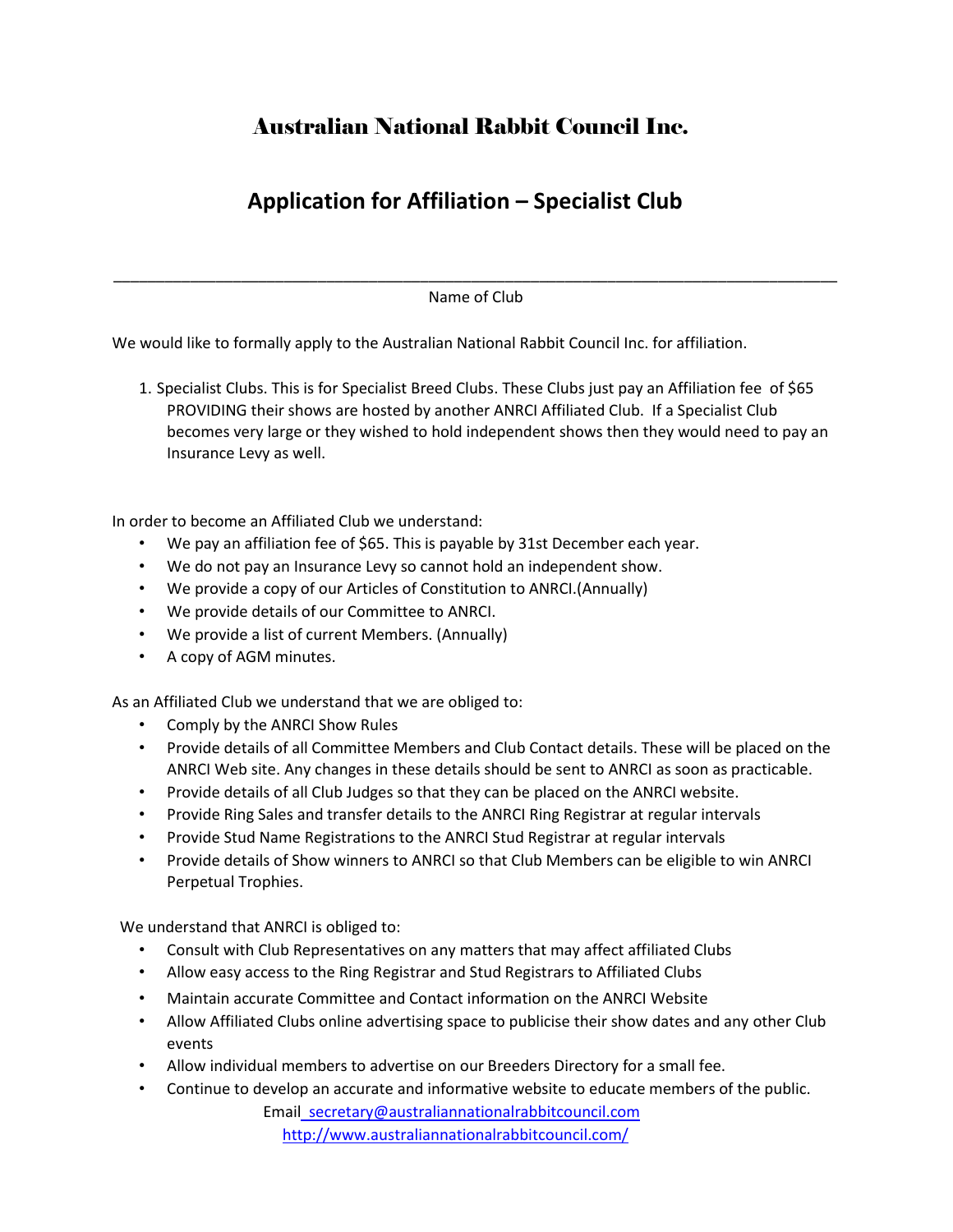## Australian National Rabbit Council Inc.

## **Application for Affiliation – Specialist Club**

\_\_\_\_\_\_\_\_\_\_\_\_\_\_\_\_\_\_\_\_\_\_\_\_\_\_\_\_\_\_\_\_\_\_\_\_\_\_\_\_\_\_\_\_\_\_\_\_\_\_\_\_\_\_\_\_\_\_\_\_\_\_\_\_\_\_\_\_\_\_\_\_\_\_\_\_\_\_\_\_\_\_\_\_\_ Name of Club

We would like to formally apply to the Australian National Rabbit Council Inc. for affiliation.

1. Specialist Clubs. This is for Specialist Breed Clubs. These Clubs just pay an Affiliation fee of \$65 PROVIDING their shows are hosted by another ANRCI Affiliated Club. If a Specialist Club becomes very large or they wished to hold independent shows then they would need to pay an Insurance Levy as well.

In order to become an Affiliated Club we understand:

- We pay an affiliation fee of \$65. This is payable by 31st December each year.
- We do not pay an Insurance Levy so cannot hold an independent show.
- We provide a copy of our Articles of Constitution to ANRCI.(Annually)
- We provide details of our Committee to ANRCI.
- We provide a list of current Members. (Annually)
- A copy of AGM minutes.

As an Affiliated Club we understand that we are obliged to:

- Comply by the ANRCI Show Rules
- Provide details of all Committee Members and Club Contact details. These will be placed on the ANRCI Web site. Any changes in these details should be sent to ANRCI as soon as practicable.
- Provide details of all Club Judges so that they can be placed on the ANRCI website.
- Provide Ring Sales and transfer details to the ANRCI Ring Registrar at regular intervals
- Provide Stud Name Registrations to the ANRCI Stud Registrar at regular intervals
- Provide details of Show winners to ANRCI so that Club Members can be eligible to win ANRCI Perpetual Trophies.

We understand that ANRCI is obliged to:

- Consult with Club Representatives on any matters that may affect affiliated Clubs
- Allow easy access to the Ring Registrar and Stud Registrars to Affiliated Clubs
- Maintain accurate Committee and Contact information on the ANRCI Website
- Allow Affiliated Clubs online advertising space to publicise their show dates and any other Club events
- Allow individual members to advertise on our Breeders Directory for a small fee.
- Continue to develop an accurate and informative website to educate members of the public.

 Email secretary@australiannationalrabbitcouncil.com <http://www.australiannationalrabbitcouncil.com/>